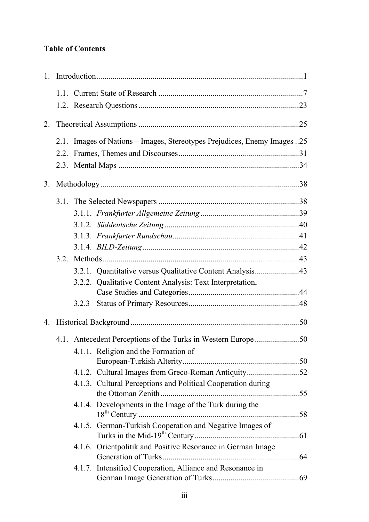## **Table of Contents**

| 2. |      |       |                                                                          |  |  |  |
|----|------|-------|--------------------------------------------------------------------------|--|--|--|
|    |      |       | 2.1. Images of Nations - Images, Stereotypes Prejudices, Enemy Images 25 |  |  |  |
|    |      |       |                                                                          |  |  |  |
|    |      |       |                                                                          |  |  |  |
| 3. |      |       |                                                                          |  |  |  |
|    |      |       |                                                                          |  |  |  |
|    |      |       |                                                                          |  |  |  |
|    |      |       |                                                                          |  |  |  |
|    |      |       |                                                                          |  |  |  |
|    |      |       |                                                                          |  |  |  |
|    | 3.2. |       |                                                                          |  |  |  |
|    |      |       | 3.2.1. Quantitative versus Qualitative Content Analysis43                |  |  |  |
|    |      |       | 3.2.2. Qualitative Content Analysis: Text Interpretation,                |  |  |  |
|    |      |       |                                                                          |  |  |  |
|    |      | 3.2.3 |                                                                          |  |  |  |
|    |      |       |                                                                          |  |  |  |
|    |      |       |                                                                          |  |  |  |
|    |      |       | 4.1.1. Religion and the Formation of                                     |  |  |  |
|    |      |       |                                                                          |  |  |  |
|    |      |       | 4.1.2. Cultural Images from Greco-Roman Antiquity52                      |  |  |  |
|    |      |       | 4.1.3. Cultural Perceptions and Political Cooperation during             |  |  |  |
|    |      |       | 4.1.4. Developments in the Image of the Turk during the                  |  |  |  |
|    |      |       |                                                                          |  |  |  |
|    |      |       | 4.1.5. German-Turkish Cooperation and Negative Images of                 |  |  |  |
|    |      |       | 4.1.6. Orientpolitik and Positive Resonance in German Image              |  |  |  |
|    |      |       | 4.1.7. Intensified Cooperation, Alliance and Resonance in                |  |  |  |
|    |      |       |                                                                          |  |  |  |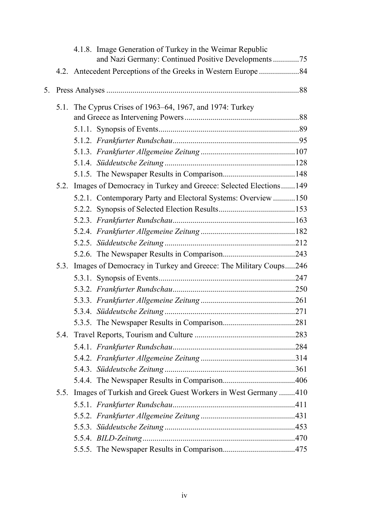|    |      |                                                           | 4.1.8. Image Generation of Turkey in the Weimar Republic<br>and Nazi Germany: Continued Positive Developments75 |  |  |
|----|------|-----------------------------------------------------------|-----------------------------------------------------------------------------------------------------------------|--|--|
|    |      |                                                           |                                                                                                                 |  |  |
| 5. |      |                                                           |                                                                                                                 |  |  |
|    |      | 5.1. The Cyprus Crises of 1963–64, 1967, and 1974: Turkey |                                                                                                                 |  |  |
|    |      |                                                           |                                                                                                                 |  |  |
|    |      |                                                           |                                                                                                                 |  |  |
|    |      |                                                           |                                                                                                                 |  |  |
|    |      |                                                           |                                                                                                                 |  |  |
|    |      |                                                           |                                                                                                                 |  |  |
|    |      |                                                           |                                                                                                                 |  |  |
|    |      |                                                           | 5.2. Images of Democracy in Turkey and Greece: Selected Elections149                                            |  |  |
|    |      |                                                           | 5.2.1. Contemporary Party and Electoral Systems: Overview 150                                                   |  |  |
|    |      |                                                           |                                                                                                                 |  |  |
|    |      |                                                           |                                                                                                                 |  |  |
|    |      |                                                           |                                                                                                                 |  |  |
|    |      |                                                           |                                                                                                                 |  |  |
|    |      |                                                           |                                                                                                                 |  |  |
|    |      |                                                           | 5.3. Images of Democracy in Turkey and Greece: The Military Coups246                                            |  |  |
|    |      |                                                           |                                                                                                                 |  |  |
|    |      |                                                           |                                                                                                                 |  |  |
|    |      |                                                           |                                                                                                                 |  |  |
|    |      |                                                           |                                                                                                                 |  |  |
|    |      |                                                           |                                                                                                                 |  |  |
|    |      |                                                           |                                                                                                                 |  |  |
|    |      |                                                           |                                                                                                                 |  |  |
|    |      |                                                           |                                                                                                                 |  |  |
|    |      |                                                           |                                                                                                                 |  |  |
|    |      |                                                           |                                                                                                                 |  |  |
|    | 5.5. |                                                           | Images of Turkish and Greek Guest Workers in West Germany 410                                                   |  |  |
|    |      |                                                           |                                                                                                                 |  |  |
|    |      |                                                           |                                                                                                                 |  |  |
|    |      |                                                           |                                                                                                                 |  |  |
|    |      |                                                           |                                                                                                                 |  |  |
|    |      |                                                           |                                                                                                                 |  |  |